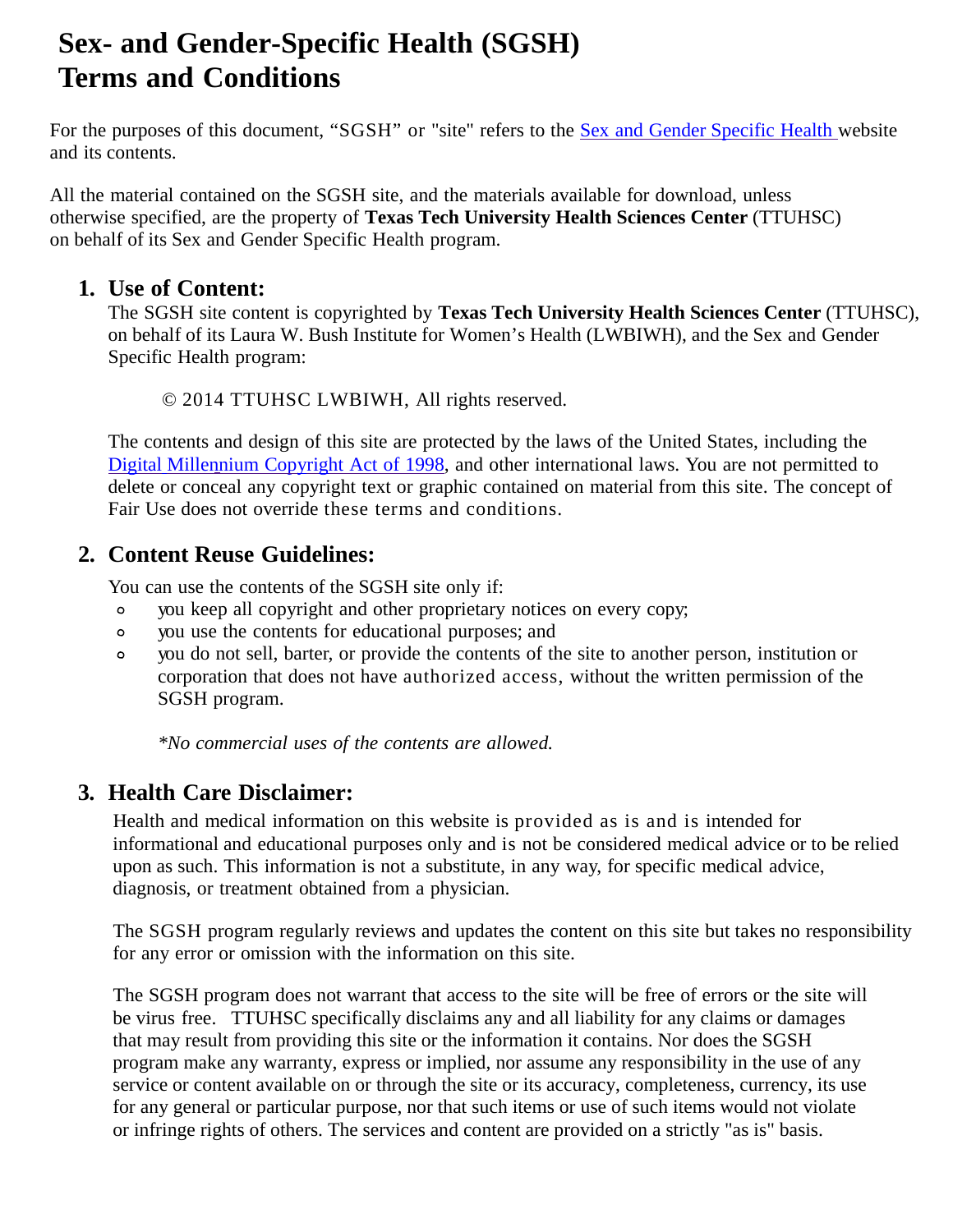# **Sex- and Gender-Specific Health (SGSH) Terms and Conditions**

For the purposes of this document, "SGSH" or "site" refers to the Sex and Gender [Specific](http://www.sexandgenderhealth.org/index.html) Health website and its contents.

All the material contained on the SGSH site, and the materials available for download, unless otherwise specified, are the property of **Texas Tech University Health Sciences Center** (TTUHSC) on behalf of its Sex and Gender Specific Health program.

## **1. Use of Content:**

The SGSH site content is copyrighted by **Texas Tech University Health Sciences Center** (TTUHSC), on behalf of its Laura W. Bush Institute for Women's Health (LWBIWH), and the Sex and Gender Specific Health program:

© 2014 TTUHSC LWBIWH, All rights reserved.

The contents and design of this site are protected by the laws of the United States, including the Digital [Millennium](http://www.copyright.gov/legislation/dmca.pdf) Copyright Act of 1998, and other international laws. You are not permitted to delete or conceal any copyright text or graphic contained on material from this site. The concept of Fair Use does not override these terms and conditions.

# **2. Content Reuse Guidelines:**

You can use the contents of the SGSH site only if:

- you keep all copyright and other proprietary notices on every copy;  $\circ$
- $\circ$ you use the contents for educational purposes; and
- you do not sell, barter, or provide the contents of the site to another person, institution or  $\circ$ corporation that does not have authorized access, without the written permission of the SGSH program.

*\*No commercial uses of the contents are allowed.*

# **3. Health Care Disclaimer:**

Health and medical information on this website is provided as is and is intended for informational and educational purposes only and is not be considered medical advice or to be relied upon as such. This information is not a substitute, in any way, for specific medical advice, diagnosis, or treatment obtained from a physician.

The SGSH program regularly reviews and updates the content on this site but takes no responsibility for any error or omission with the information on this site.

The SGSH program does not warrant that access to the site will be free of errors or the site will be virus free. TTUHSC specifically disclaims any and all liability for any claims or damages that may result from providing this site or the information it contains. Nor does the SGSH program make any warranty, express or implied, nor assume any responsibility in the use of any service or content available on or through the site or its accuracy, completeness, currency, its use for any general or particular purpose, nor that such items or use of such items would not violate or infringe rights of others. The services and content are provided on a strictly "as is" basis.